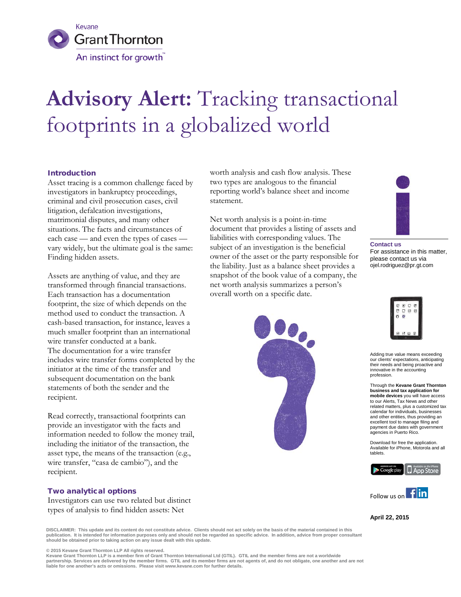

# **Advisory Alert:** Tracking transactional footprints in a globalized world

## Introduction

Asset tracing is a common challenge faced by investigators in bankruptcy proceedings, criminal and civil prosecution cases, civil litigation, defalcation investigations, matrimonial disputes, and many other situations. The facts and circumstances of each case — and even the types of cases vary widely, but the ultimate goal is the same: Finding hidden assets.

Assets are anything of value, and they are transformed through financial transactions. Each transaction has a documentation footprint, the size of which depends on the method used to conduct the transaction. A cash-based transaction, for instance, leaves a much smaller footprint than an international wire transfer conducted at a bank. The documentation for a wire transfer includes wire transfer forms completed by the initiator at the time of the transfer and subsequent documentation on the bank statements of both the sender and the recipient.

Read correctly, transactional footprints can provide an investigator with the facts and information needed to follow the money trail, including the initiator of the transaction, the asset type, the means of the transaction (e.g., wire transfer, "casa de cambio"), and the recipient.

## Two analytical options

Investigators can use two related but distinct types of analysis to find hidden assets: Net

worth analysis and cash flow analysis. These two types are analogous to the financial reporting world's balance sheet and income statement.

Net worth analysis is a point-in-time document that provides a listing of assets and liabilities with corresponding values. The subject of an investigation is the beneficial owner of the asset or the party responsible for the liability. Just as a balance sheet provides a snapshot of the book value of a company, the net worth analysis summarizes a person's overall worth on a specific date.





**Contact us** For assistance in this matter, please contact us via ojel.rodriguez@pr.gt.com



Adding true value means exceeding our clients' expectations, anticipating their needs and being proactive and innovative in the accounting profession.

Through the **Kevane Grant Thornton business and tax application for mobile devices** you will have access to our Alerts, Tax News and other related matters, plus a customized tax calendar for individuals, businesses and other entities, thus providing an excellent tool to manage filing and payment due dates with government agencies in Puerto Rico.

Download for free the application. Available for iPhone, Motorola and all tablets.





**April 22, 2015**

**DISCLAIMER: This update and its content do not constitute advice. Clients should not act solely on the basis of the material contained in this publication. It is intended for information purposes only and should not be regarded as specific advice. In addition, advice from proper consultant should be obtained prior to taking action on any issue dealt with this update.**

© 2015 Kevane Grant Thornton LLP All rights reserved.<br>Kevane Grant Thornton LLP is a member firm of Grant Thornton International Ltd (GTIL). GTIL and the member firms are not a worldwide partnership. Services are delivered by the member firms. GTIL and its member firms are not agents of, and do not obligate, one another and are not **liable for one another's acts or omissions. Please visit www.kevane.com for further details.**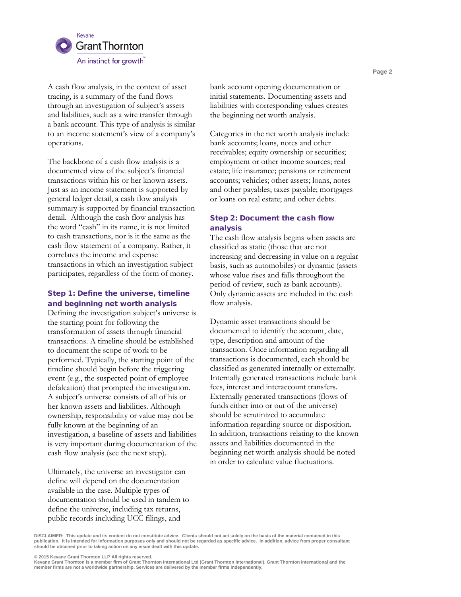

A cash flow analysis, in the context of asset tracing, is a summary of the fund flows through an investigation of subject's assets and liabilities, such as a wire transfer through a bank account. This type of analysis is similar to an income statement's view of a company's operations.

The backbone of a cash flow analysis is a documented view of the subject's financial transactions within his or her known assets. Just as an income statement is supported by general ledger detail, a cash flow analysis summary is supported by financial transaction detail. Although the cash flow analysis has the word "cash" in its name, it is not limited to cash transactions, nor is it the same as the cash flow statement of a company. Rather, it correlates the income and expense transactions in which an investigation subject participates, regardless of the form of money.

## Step 1: Define the universe, timeline and beginning net worth analysis

Defining the investigation subject's universe is the starting point for following the transformation of assets through financial transactions. A timeline should be established to document the scope of work to be performed. Typically, the starting point of the timeline should begin before the triggering event (e.g., the suspected point of employee defalcation) that prompted the investigation. A subject's universe consists of all of his or her known assets and liabilities. Although ownership, responsibility or value may not be fully known at the beginning of an investigation, a baseline of assets and liabilities is very important during documentation of the cash flow analysis (see the next step).

Ultimately, the universe an investigator can define will depend on the documentation available in the case. Multiple types of documentation should be used in tandem to define the universe, including tax returns, public records including UCC filings, and

bank account opening documentation or initial statements. Documenting assets and liabilities with corresponding values creates the beginning net worth analysis.

Categories in the net worth analysis include bank accounts; loans, notes and other receivables; equity ownership or securities; employment or other income sources; real estate; life insurance; pensions or retirement accounts; vehicles; other assets; loans, notes and other payables; taxes payable; mortgages or loans on real estate; and other debts.

# Step 2: Document the cash flow analysis

The cash flow analysis begins when assets are classified as static (those that are not increasing and decreasing in value on a regular basis, such as automobiles) or dynamic (assets whose value rises and falls throughout the period of review, such as bank accounts). Only dynamic assets are included in the cash flow analysis.

Dynamic asset transactions should be documented to identify the account, date, type, description and amount of the transaction. Once information regarding all transactions is documented, each should be classified as generated internally or externally. Internally generated transactions include bank fees, interest and interaccount transfers. Externally generated transactions (flows of funds either into or out of the universe) should be scrutinized to accumulate information regarding source or disposition. In addition, transactions relating to the known assets and liabilities documented in the beginning net worth analysis should be noted in order to calculate value fluctuations.

DISCLAIMER: This update and its content do not constitute advice. Clients should not act solely on the basis of the material contained in this<br>publication. It is intended for information purposes only and should not be r

**© 2015 Kevane Grant Thornton LLP All rights reserved.**

Kevane Grant Thornton is a member firm of Grant Thornton International Ltd (Grant Thornton International). Grant Thornton International and the<br>member firms are not a worldwide partnership. Services are delivered by the me